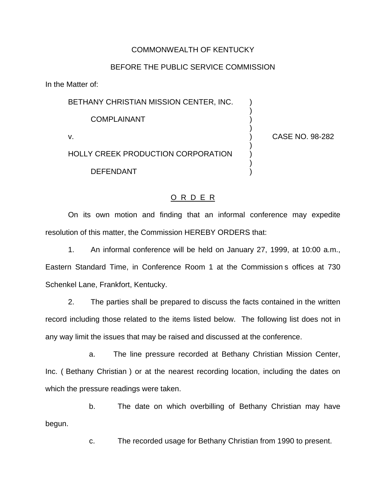## COMMONWEALTH OF KENTUCKY

## BEFORE THE PUBLIC SERVICE COMMISSION

In the Matter of:

BETHANY CHRISTIAN MISSION CENTER, INC.

COMPLAINANT )

HOLLY CREEK PRODUCTION CORPORATION )

**DEFENDANT** 

v. ) CASE NO. 98-282

)

)

)

)

## O R D E R

On its own motion and finding that an informal conference may expedite resolution of this matter, the Commission HEREBY ORDERS that:

1. An informal conference will be held on January 27, 1999, at 10:00 a.m., Eastern Standard Time, in Conference Room 1 at the Commission s offices at 730 Schenkel Lane, Frankfort, Kentucky.

2. The parties shall be prepared to discuss the facts contained in the written record including those related to the items listed below. The following list does not in any way limit the issues that may be raised and discussed at the conference.

a. The line pressure recorded at Bethany Christian Mission Center, Inc. ( Bethany Christian ) or at the nearest recording location, including the dates on which the pressure readings were taken.

b. The date on which overbilling of Bethany Christian may have begun.

c. The recorded usage for Bethany Christian from 1990 to present.